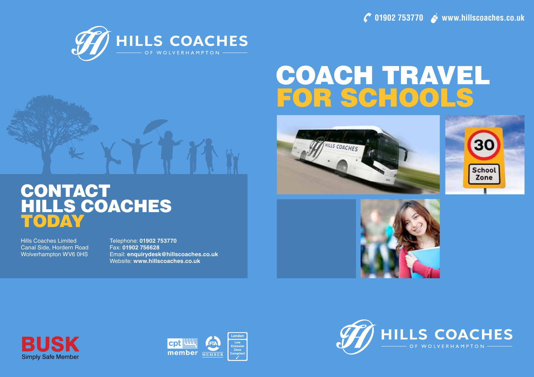**01902 753770 www.hillscoaches.co.uk** 



# Coach Travel FOR SCHOOL









Hills Coaches Limited Canal Side, Hordern Road Wolverhampton WV6 0HS Telephone: **01902 753770** Fax: **01902 756628** Email: **enquirydesk@hillscoaches.co.uk** Website: **www.hillscoaches.co.uk**